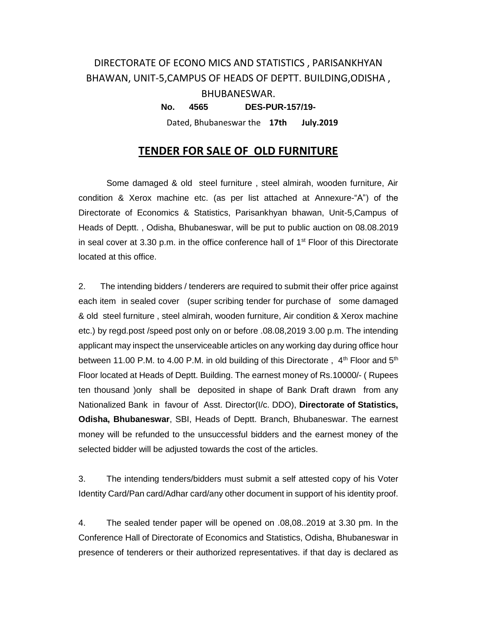## DIRECTORATE OF ECONO MICS AND STATISTICS , PARISANKHYAN BHAWAN, UNIT-5,CAMPUS OF HEADS OF DEPTT. BUILDING,ODISHA , BHUBANESWAR. **No. 4565 DES-PUR-157/19-**

Dated, Bhubaneswar the **17th July.2019**

### **TENDER FOR SALE OF OLD FURNITURE**

Some damaged & old steel furniture , steel almirah, wooden furniture, Air condition & Xerox machine etc. (as per list attached at Annexure-"A") of the Directorate of Economics & Statistics, Parisankhyan bhawan, Unit-5,Campus of Heads of Deptt. , Odisha, Bhubaneswar, will be put to public auction on 08.08.2019 in seal cover at 3.30 p.m. in the office conference hall of  $1<sup>st</sup>$  Floor of this Directorate located at this office.

2. The intending bidders / tenderers are required to submit their offer price against each item in sealed cover (super scribing tender for purchase of some damaged & old steel furniture , steel almirah, wooden furniture, Air condition & Xerox machine etc.) by regd.post /speed post only on or before .08.08,2019 3.00 p.m. The intending applicant may inspect the unserviceable articles on any working day during office hour between 11.00 P.M. to 4.00 P.M. in old building of this Directorate,  $4<sup>th</sup>$  Floor and  $5<sup>th</sup>$ Floor located at Heads of Deptt. Building. The earnest money of Rs.10000/- ( Rupees ten thousand )only shall be deposited in shape of Bank Draft drawn from any Nationalized Bank in favour of Asst. Director(I/c. DDO), **Directorate of Statistics, Odisha, Bhubaneswar**, SBI, Heads of Deptt. Branch, Bhubaneswar. The earnest money will be refunded to the unsuccessful bidders and the earnest money of the selected bidder will be adjusted towards the cost of the articles.

3. The intending tenders/bidders must submit a self attested copy of his Voter Identity Card/Pan card/Adhar card/any other document in support of his identity proof.

4. The sealed tender paper will be opened on .08,08..2019 at 3.30 pm. In the Conference Hall of Directorate of Economics and Statistics, Odisha, Bhubaneswar in presence of tenderers or their authorized representatives. if that day is declared as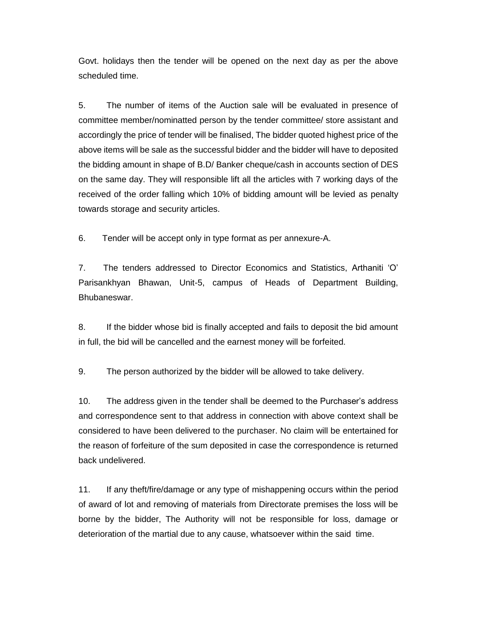Govt. holidays then the tender will be opened on the next day as per the above scheduled time.

5. The number of items of the Auction sale will be evaluated in presence of committee member/nominatted person by the tender committee/ store assistant and accordingly the price of tender will be finalised, The bidder quoted highest price of the above items will be sale as the successful bidder and the bidder will have to deposited the bidding amount in shape of B.D/ Banker cheque/cash in accounts section of DES on the same day. They will responsible lift all the articles with 7 working days of the received of the order falling which 10% of bidding amount will be levied as penalty towards storage and security articles.

6. Tender will be accept only in type format as per annexure-A.

7. The tenders addressed to Director Economics and Statistics, Arthaniti 'O' Parisankhyan Bhawan, Unit-5, campus of Heads of Department Building, Bhubaneswar.

8. If the bidder whose bid is finally accepted and fails to deposit the bid amount in full, the bid will be cancelled and the earnest money will be forfeited.

9. The person authorized by the bidder will be allowed to take delivery.

10. The address given in the tender shall be deemed to the Purchaser's address and correspondence sent to that address in connection with above context shall be considered to have been delivered to the purchaser. No claim will be entertained for the reason of forfeiture of the sum deposited in case the correspondence is returned back undelivered.

11. If any theft/fire/damage or any type of mishappening occurs within the period of award of lot and removing of materials from Directorate premises the loss will be borne by the bidder, The Authority will not be responsible for loss, damage or deterioration of the martial due to any cause, whatsoever within the said time.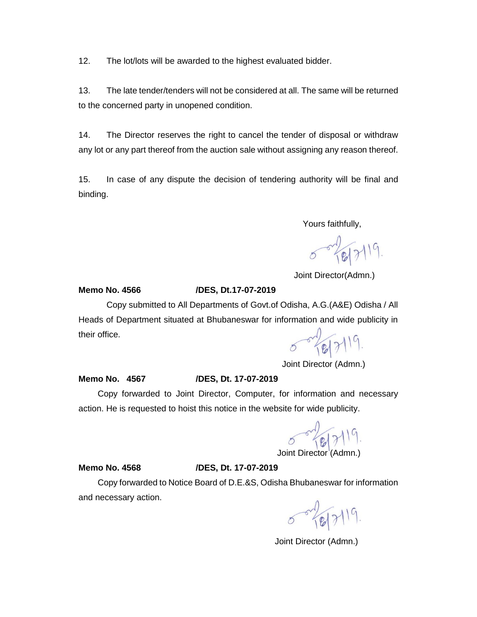12. The lot/lots will be awarded to the highest evaluated bidder.

13. The late tender/tenders will not be considered at all. The same will be returned to the concerned party in unopened condition.

14. The Director reserves the right to cancel the tender of disposal or withdraw any lot or any part thereof from the auction sale without assigning any reason thereof.

15. In case of any dispute the decision of tendering authority will be final and binding.

Yours faithfully,

5-2019.

Joint Director(Admn.)

#### **Memo No. 4566 /DES, Dt.17-07-2019**

Copy submitted to All Departments of Govt.of Odisha, A.G.(A&E) Odisha / All Heads of Department situated at Bhubaneswar for information and wide publicity in their office.

 $-24.5119$ .

Joint Director (Admn.)

#### **Memo No. 4567 /DES, Dt. 17-07-2019**

 Copy forwarded to Joint Director, Computer, for information and necessary action. He is requested to hoist this notice in the website for wide publicity.

 $5 - 181719$ 

Joint Director (Admr

#### **Memo No. 4568 /DES, Dt. 17-07-2019**

 Copy forwarded to Notice Board of D.E.&S, Odisha Bhubaneswar for information and necessary action.

5-18/7/19.

Joint Director (Admn.)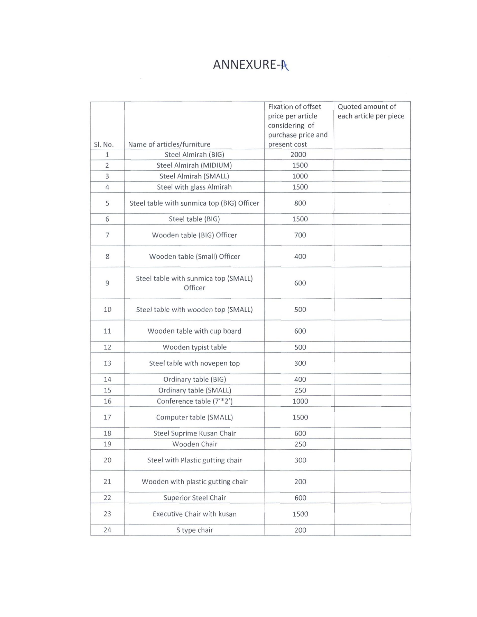# ANNEXURE-A

|                     |                                                   | Fixation of offset   | Quoted amount of       |
|---------------------|---------------------------------------------------|----------------------|------------------------|
|                     |                                                   | price per article    | each article per piece |
|                     |                                                   | considering of       |                        |
|                     |                                                   | purchase price and   |                        |
| SI. No.             | Name of articles/furniture<br>Steel Almirah (BIG) | present cost<br>2000 |                        |
| 1<br>$\overline{2}$ | Steel Almirah (MIDIUM)                            | 1500                 |                        |
| 3                   | Steel Almirah (SMALL)                             | 1000                 |                        |
| $\overline{4}$      | Steel with glass Almirah                          | 1500                 |                        |
|                     |                                                   |                      |                        |
| 5                   | Steel table with sunmica top (BIG) Officer        | 800                  |                        |
| 6                   | Steel table (BIG)                                 | 1500                 |                        |
| $\overline{7}$      | Wooden table (BIG) Officer                        | 700                  |                        |
| 8                   | Wooden table (Small) Officer                      | 400                  |                        |
| 9                   | Steel table with sunmica top (SMALL)<br>Officer   | 600                  |                        |
| 10                  | Steel table with wooden top (SMALL)               | 500                  |                        |
| 11                  | Wooden table with cup board                       | 600                  |                        |
| 12                  | Wooden typist table                               | 500                  |                        |
| 13                  | Steel table with novepen top                      | 300                  |                        |
| 14                  | Ordinary table (BIG)                              | 400                  |                        |
| 15                  | Ordinary table (SMALL)                            | 250                  |                        |
| 16                  | Conference table (7'*2')                          | 1000                 |                        |
| 17                  | Computer table (SMALL)                            | 1500                 |                        |
| 18                  | Steel Suprime Kusan Chair                         | 600                  |                        |
| 19                  | Wooden Chair                                      | 250                  |                        |
| 20                  | Steel with Plastic gutting chair                  | 300                  |                        |
| 21                  | Wooden with plastic gutting chair                 | 200                  |                        |
| 22                  | <b>Superior Steel Chair</b>                       | 600                  |                        |
| 23                  | Executive Chair with kusan                        | 1500                 |                        |
| 24                  | S type chair                                      | 200                  |                        |